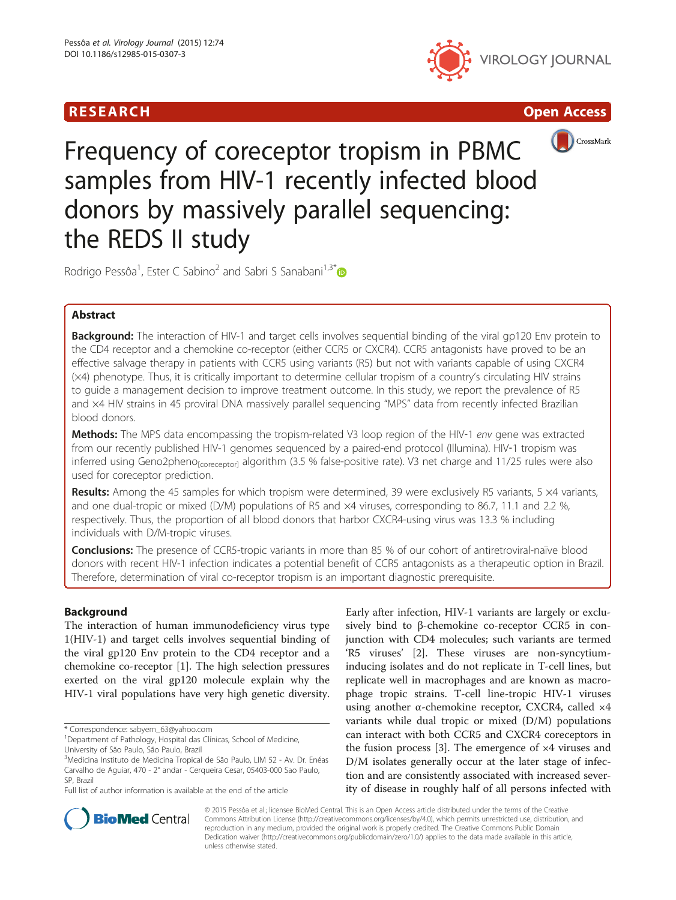







# Frequency of coreceptor tropism in PBMC samples from HIV-1 recently infected blood donors by massively parallel sequencing: the REDS II study

Rodrigo Pessôa<sup>1</sup>, Ester C Sabino<sup>2</sup> and Sabri S Sanabani<sup>1,3\*</sup>

# Abstract

Background: The interaction of HIV-1 and target cells involves sequential binding of the viral gp120 Env protein to the CD4 receptor and a chemokine co-receptor (either CCR5 or CXCR4). CCR5 antagonists have proved to be an effective salvage therapy in patients with CCR5 using variants (R5) but not with variants capable of using CXCR4 (×4) phenotype. Thus, it is critically important to determine cellular tropism of a country's circulating HIV strains to guide a management decision to improve treatment outcome. In this study, we report the prevalence of R5 and ×4 HIV strains in 45 proviral DNA massively parallel sequencing "MPS" data from recently infected Brazilian blood donors.

Methods: The MPS data encompassing the tropism-related V3 loop region of the HIV-1 env gene was extracted from our recently published HIV-1 genomes sequenced by a paired-end protocol (Illumina). HIV-1 tropism was inferred using Geno2pheno<sub>[coreceptor]</sub> algorithm (3.5 % false-positive rate). V3 net charge and 11/25 rules were also used for coreceptor prediction.

Results: Among the 45 samples for which tropism were determined, 39 were exclusively R5 variants, 5 ×4 variants, and one dual-tropic or mixed (D/M) populations of R5 and  $\times$ 4 viruses, corresponding to 86.7, 11.1 and 2.2 %, respectively. Thus, the proportion of all blood donors that harbor CXCR4-using virus was 13.3 % including individuals with D/M-tropic viruses.

**Conclusions:** The presence of CCR5-tropic variants in more than 85 % of our cohort of antiretroviral-naïve blood donors with recent HIV-1 infection indicates a potential benefit of CCR5 antagonists as a therapeutic option in Brazil. Therefore, determination of viral co-receptor tropism is an important diagnostic prerequisite.

# Background

The interaction of human immunodeficiency virus type 1(HIV-1) and target cells involves sequential binding of the viral gp120 Env protein to the CD4 receptor and a chemokine co-receptor [[1\]](#page-5-0). The high selection pressures exerted on the viral gp120 molecule explain why the HIV-1 viral populations have very high genetic diversity.

\* Correspondence: [sabyem\\_63@yahoo.com](mailto:sabyem_63@yahoo.com) <sup>1</sup>

Early after infection, HIV-1 variants are largely or exclusively bind to β-chemokine co-receptor CCR5 in conjunction with CD4 molecules; such variants are termed 'R5 viruses' [[2\]](#page-5-0). These viruses are non-syncytiuminducing isolates and do not replicate in T-cell lines, but replicate well in macrophages and are known as macrophage tropic strains. T-cell line-tropic HIV-1 viruses using another α-chemokine receptor, CXCR4, called ×4 variants while dual tropic or mixed (D/M) populations can interact with both CCR5 and CXCR4 coreceptors in the fusion process [\[3](#page-5-0)]. The emergence of ×4 viruses and D/M isolates generally occur at the later stage of infection and are consistently associated with increased severity of disease in roughly half of all persons infected with



© 2015 Pessôa et al.; licensee BioMed Central. This is an Open Access article distributed under the terms of the Creative Commons Attribution License [\(http://creativecommons.org/licenses/by/4.0\)](http://creativecommons.org/licenses/by/4.0), which permits unrestricted use, distribution, and reproduction in any medium, provided the original work is properly credited. The Creative Commons Public Domain Dedication waiver [\(http://creativecommons.org/publicdomain/zero/1.0/](http://creativecommons.org/publicdomain/zero/1.0/)) applies to the data made available in this article, unless otherwise stated.

<sup>&</sup>lt;sup>1</sup>Department of Pathology, Hospital das Clínicas, School of Medicine, University of São Paulo, São Paulo, Brazil

<sup>&</sup>lt;sup>3</sup>Medicina Instituto de Medicina Tropical de São Paulo, LIM 52 - Av. Dr. Enéas Carvalho de Aguiar, 470 - 2° andar - Cerqueira Cesar, 05403-000 Sao Paulo, SP, Brazil

Full list of author information is available at the end of the article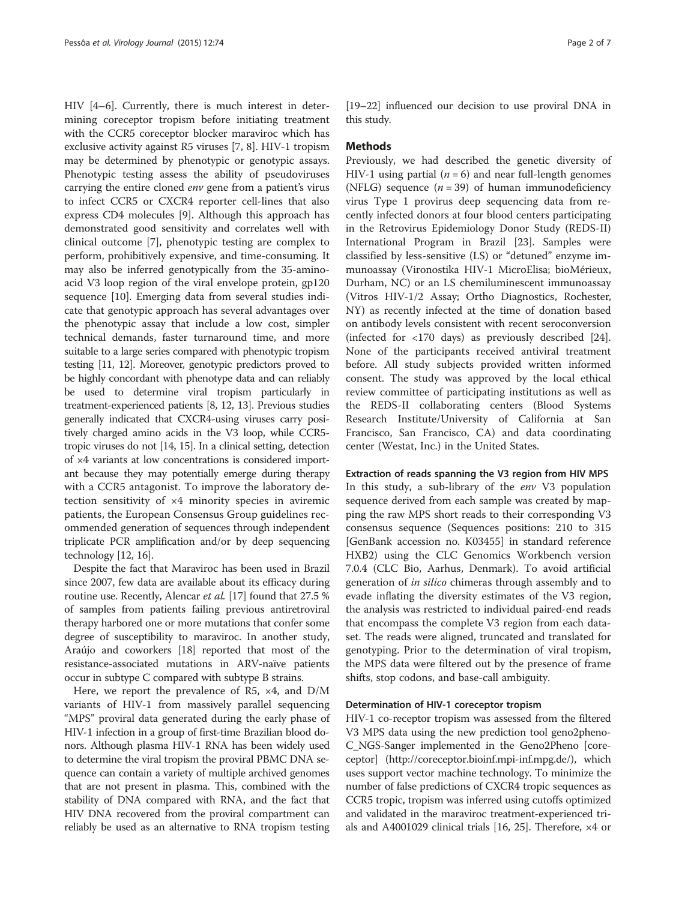HIV [\[4](#page-5-0)–[6\]](#page-5-0). Currently, there is much interest in determining coreceptor tropism before initiating treatment with the CCR5 coreceptor blocker maraviroc which has exclusive activity against R5 viruses [\[7](#page-5-0), [8](#page-5-0)]. HIV-1 tropism may be determined by phenotypic or genotypic assays. Phenotypic testing assess the ability of pseudoviruses carrying the entire cloned env gene from a patient's virus to infect CCR5 or CXCR4 reporter cell-lines that also express CD4 molecules [[9\]](#page-5-0). Although this approach has demonstrated good sensitivity and correlates well with clinical outcome [\[7](#page-5-0)], phenotypic testing are complex to perform, prohibitively expensive, and time-consuming. It may also be inferred genotypically from the 35-aminoacid V3 loop region of the viral envelope protein, gp120 sequence [\[10\]](#page-5-0). Emerging data from several studies indicate that genotypic approach has several advantages over the phenotypic assay that include a low cost, simpler technical demands, faster turnaround time, and more suitable to a large series compared with phenotypic tropism testing [\[11, 12](#page-5-0)]. Moreover, genotypic predictors proved to be highly concordant with phenotype data and can reliably be used to determine viral tropism particularly in treatment-experienced patients [\[8, 12](#page-5-0), [13\]](#page-5-0). Previous studies generally indicated that CXCR4-using viruses carry positively charged amino acids in the V3 loop, while CCR5 tropic viruses do not [[14](#page-5-0), [15](#page-5-0)]. In a clinical setting, detection of ×4 variants at low concentrations is considered important because they may potentially emerge during therapy with a CCR5 antagonist. To improve the laboratory detection sensitivity of ×4 minority species in aviremic patients, the European Consensus Group guidelines recommended generation of sequences through independent triplicate PCR amplification and/or by deep sequencing technology [\[12, 16](#page-5-0)].

Despite the fact that Maraviroc has been used in Brazil since 2007, few data are available about its efficacy during routine use. Recently, Alencar *et al.* [[17](#page-5-0)] found that 27.5 % of samples from patients failing previous antiretroviral therapy harbored one or more mutations that confer some degree of susceptibility to maraviroc. In another study, Araújo and coworkers [[18](#page-5-0)] reported that most of the resistance-associated mutations in ARV-naïve patients occur in subtype C compared with subtype B strains.

Here, we report the prevalence of R5, ×4, and D/M variants of HIV-1 from massively parallel sequencing "MPS" proviral data generated during the early phase of HIV-1 infection in a group of first-time Brazilian blood donors. Although plasma HIV-1 RNA has been widely used to determine the viral tropism the proviral PBMC DNA sequence can contain a variety of multiple archived genomes that are not present in plasma. This, combined with the stability of DNA compared with RNA, and the fact that HIV DNA recovered from the proviral compartment can reliably be used as an alternative to RNA tropism testing [[19](#page-5-0)–[22\]](#page-6-0) influenced our decision to use proviral DNA in this study.

## Methods

Previously, we had described the genetic diversity of HIV-1 using partial ( $n = 6$ ) and near full-length genomes (NFLG) sequence  $(n = 39)$  of human immunodeficiency virus Type 1 provirus deep sequencing data from recently infected donors at four blood centers participating in the Retrovirus Epidemiology Donor Study (REDS-II) International Program in Brazil [\[23\]](#page-6-0). Samples were classified by less-sensitive (LS) or "detuned" enzyme immunoassay (Vironostika HIV-1 MicroElisa; bioMérieux, Durham, NC) or an LS chemiluminescent immunoassay (Vitros HIV-1/2 Assay; Ortho Diagnostics, Rochester, NY) as recently infected at the time of donation based on antibody levels consistent with recent seroconversion (infected for <170 days) as previously described [\[24](#page-6-0)]. None of the participants received antiviral treatment before. All study subjects provided written informed consent. The study was approved by the local ethical review committee of participating institutions as well as the REDS-II collaborating centers (Blood Systems Research Institute/University of California at San Francisco, San Francisco, CA) and data coordinating center (Westat, Inc.) in the United States.

#### Extraction of reads spanning the V3 region from HIV MPS

In this study, a sub-library of the env V3 population sequence derived from each sample was created by mapping the raw MPS short reads to their corresponding V3 consensus sequence (Sequences positions: 210 to 315 [GenBank accession no. K03455] in standard reference HXB2) using the CLC Genomics Workbench version 7.0.4 (CLC Bio, Aarhus, Denmark). To avoid artificial generation of in silico chimeras through assembly and to evade inflating the diversity estimates of the V3 region, the analysis was restricted to individual paired-end reads that encompass the complete V3 region from each dataset. The reads were aligned, truncated and translated for genotyping. Prior to the determination of viral tropism, the MPS data were filtered out by the presence of frame shifts, stop codons, and base-call ambiguity.

#### Determination of HIV-1 coreceptor tropism

HIV-1 co-receptor tropism was assessed from the filtered V3 MPS data using the new prediction tool geno2pheno-C\_NGS-Sanger implemented in the Geno2Pheno [coreceptor] ([http://coreceptor.bioinf.mpi-inf.mpg.de/\)](http://coreceptor.bioinf.mpi-inf.mpg.de/), which uses support vector machine technology. To minimize the number of false predictions of CXCR4 tropic sequences as CCR5 tropic, tropism was inferred using cutoffs optimized and validated in the maraviroc treatment-experienced trials and A4001029 clinical trials [\[16,](#page-5-0) [25\]](#page-6-0). Therefore, ×4 or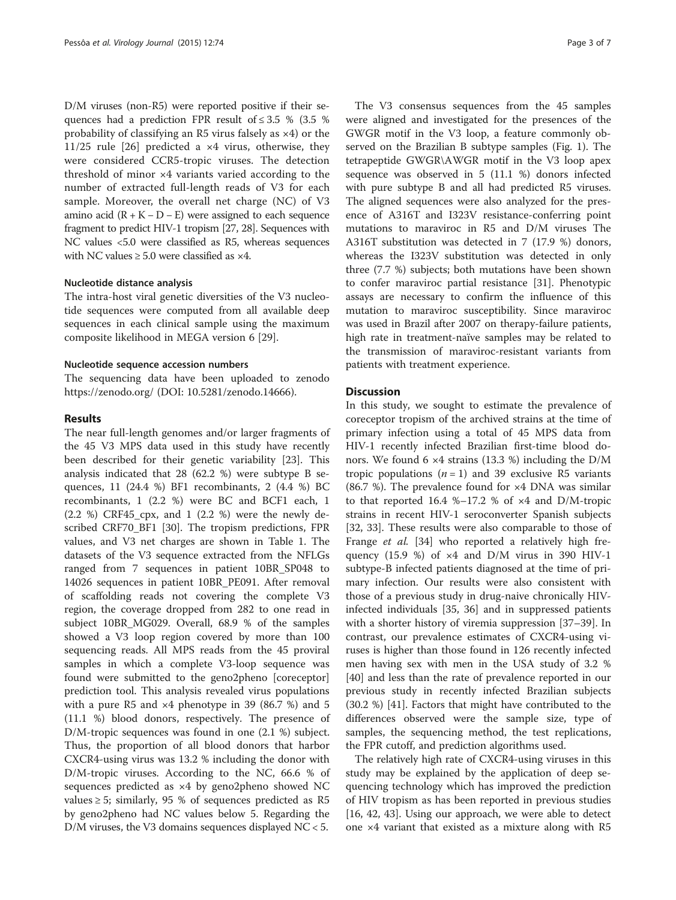D/M viruses (non-R5) were reported positive if their sequences had a prediction FPR result of  $\leq 3.5$  % (3.5 %) probability of classifying an R5 virus falsely as ×4) or the 11/25 rule [[26](#page-6-0)] predicted a ×4 virus, otherwise, they were considered CCR5-tropic viruses. The detection threshold of minor ×4 variants varied according to the number of extracted full-length reads of V3 for each sample. Moreover, the overall net charge (NC) of V3 amino acid  $(R + K − D − E)$  were assigned to each sequence fragment to predict HIV-1 tropism [[27](#page-6-0), [28](#page-6-0)]. Sequences with NC values <5.0 were classified as R5, whereas sequences with NC values  $\geq 5.0$  were classified as  $\times 4$ .

## Nucleotide distance analysis

The intra-host viral genetic diversities of the V3 nucleotide sequences were computed from all available deep sequences in each clinical sample using the maximum composite likelihood in MEGA version 6 [\[29](#page-6-0)].

#### Nucleotide sequence accession numbers

The sequencing data have been uploaded to zenodo <https://zenodo.org/> (DOI: 10.5281/zenodo.14666).

#### Results

The near full-length genomes and/or larger fragments of the 45 V3 MPS data used in this study have recently been described for their genetic variability [[23](#page-6-0)]. This analysis indicated that 28 (62.2 %) were subtype B sequences, 11 (24.4 %) BF1 recombinants, 2 (4.4 %) BC recombinants, 1 (2.2 %) were BC and BCF1 each, 1 (2.2 %) CRF45\_cpx, and 1 (2.2 %) were the newly described CRF70\_BF1 [[30\]](#page-6-0). The tropism predictions, FPR values, and V3 net charges are shown in Table [1.](#page-3-0) The datasets of the V3 sequence extracted from the NFLGs ranged from 7 sequences in patient 10BR\_SP048 to 14026 sequences in patient 10BR\_PE091. After removal of scaffolding reads not covering the complete V3 region, the coverage dropped from 282 to one read in subject 10BR\_MG029. Overall, 68.9 % of the samples showed a V3 loop region covered by more than 100 sequencing reads. All MPS reads from the 45 proviral samples in which a complete V3-loop sequence was found were submitted to the geno2pheno [coreceptor] prediction tool. This analysis revealed virus populations with a pure R5 and  $\times$ 4 phenotype in 39 (86.7 %) and 5 (11.1 %) blood donors, respectively. The presence of D/M-tropic sequences was found in one (2.1 %) subject. Thus, the proportion of all blood donors that harbor CXCR4-using virus was 13.2 % including the donor with D/M-tropic viruses. According to the NC, 66.6 % of sequences predicted as ×4 by geno2pheno showed NC values ≥ 5; similarly, 95 % of sequences predicted as R5 by geno2pheno had NC values below 5. Regarding the D/M viruses, the V3 domains sequences displayed NC < 5.

The V3 consensus sequences from the 45 samples were aligned and investigated for the presences of the GWGR motif in the V3 loop, a feature commonly observed on the Brazilian B subtype samples (Fig. [1](#page-4-0)). The tetrapeptide GWGR\AWGR motif in the V3 loop apex sequence was observed in 5 (11.1 %) donors infected with pure subtype B and all had predicted R5 viruses. The aligned sequences were also analyzed for the presence of A316T and I323V resistance-conferring point mutations to maraviroc in R5 and D/M viruses The A316T substitution was detected in 7 (17.9 %) donors, whereas the I323V substitution was detected in only three (7.7 %) subjects; both mutations have been shown to confer maraviroc partial resistance [\[31\]](#page-6-0). Phenotypic assays are necessary to confirm the influence of this mutation to maraviroc susceptibility. Since maraviroc was used in Brazil after 2007 on therapy-failure patients, high rate in treatment-naïve samples may be related to the transmission of maraviroc-resistant variants from patients with treatment experience.

### **Discussion**

In this study, we sought to estimate the prevalence of coreceptor tropism of the archived strains at the time of primary infection using a total of 45 MPS data from HIV-1 recently infected Brazilian first-time blood donors. We found 6 ×4 strains (13.3 %) including the D/M tropic populations  $(n = 1)$  and 39 exclusive R5 variants (86.7 %). The prevalence found for  $\times$ 4 DNA was similar to that reported 16.4 %–17.2 % of  $\times$ 4 and D/M-tropic strains in recent HIV-1 seroconverter Spanish subjects [[32, 33](#page-6-0)]. These results were also comparable to those of Frange et al. [[34\]](#page-6-0) who reported a relatively high frequency  $(15.9 %)$  of  $\times 4$  and  $D/M$  virus in 390 HIV-1 subtype-B infected patients diagnosed at the time of primary infection. Our results were also consistent with those of a previous study in drug-naive chronically HIVinfected individuals [[35, 36\]](#page-6-0) and in suppressed patients with a shorter history of viremia suppression [[37](#page-6-0)–[39\]](#page-6-0). In contrast, our prevalence estimates of CXCR4-using viruses is higher than those found in 126 recently infected men having sex with men in the USA study of 3.2 % [[40\]](#page-6-0) and less than the rate of prevalence reported in our previous study in recently infected Brazilian subjects (30.2 %) [\[41](#page-6-0)]. Factors that might have contributed to the differences observed were the sample size, type of samples, the sequencing method, the test replications, the FPR cutoff, and prediction algorithms used.

The relatively high rate of CXCR4-using viruses in this study may be explained by the application of deep sequencing technology which has improved the prediction of HIV tropism as has been reported in previous studies [[16,](#page-5-0) [42](#page-6-0), [43](#page-6-0)]. Using our approach, we were able to detect one ×4 variant that existed as a mixture along with R5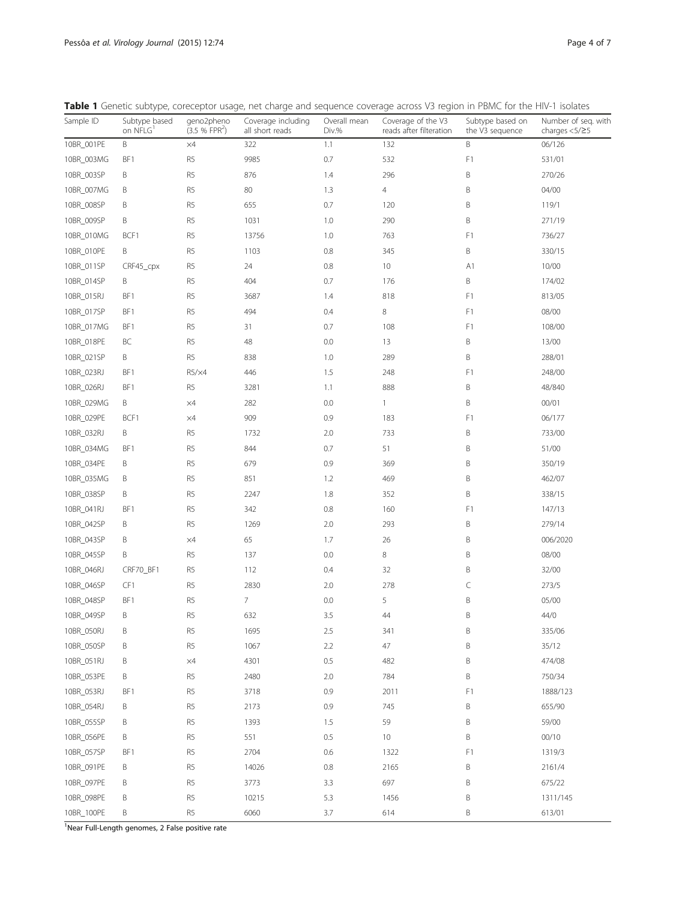<span id="page-3-0"></span>

|  |  |  | <b>Table 1</b> Genetic subtype, coreceptor usage, net charge and sequence coverage across V3 region in PBMC for the HIV-1 isolates |  |  |  |  |  |  |
|--|--|--|------------------------------------------------------------------------------------------------------------------------------------|--|--|--|--|--|--|
|--|--|--|------------------------------------------------------------------------------------------------------------------------------------|--|--|--|--|--|--|

| Sample ID  | Subtype based<br>on NFLG <sup>1</sup> | geno2pheno<br>(3.5 % FPR <sup>2</sup> ) | Coverage including<br>all short reads | Overall mean<br>Div.% | Coverage of the V3<br>reads after filteration | Subtype based on<br>the V3 sequence | Number of seq. with<br>charges $<$ 5/ $\geq$ 5 |
|------------|---------------------------------------|-----------------------------------------|---------------------------------------|-----------------------|-----------------------------------------------|-------------------------------------|------------------------------------------------|
| 10BR_001PE | B                                     | $\times 4$                              | 322                                   | 1.1                   | 132                                           | $\sf B$                             | 06/126                                         |
| 10BR_003MG | BF1                                   | R <sub>5</sub>                          | 9985                                  | 0.7                   | 532                                           | F1                                  | 531/01                                         |
| 10BR_003SP | B                                     | R <sub>5</sub>                          | 876                                   | 1.4                   | 296                                           | B                                   | 270/26                                         |
| 10BR_007MG | B                                     | R <sub>5</sub>                          | 80                                    | 1.3                   | $\overline{4}$                                | B                                   | 04/00                                          |
| 10BR_008SP | B                                     | R <sub>5</sub>                          | 655                                   | 0.7                   | 120                                           | B                                   | 119/1                                          |
| 10BR_009SP | B                                     | R <sub>5</sub>                          | 1031                                  | 1.0                   | 290                                           | $\sf B$                             | 271/19                                         |
| 10BR_010MG | BCF1                                  | R <sub>5</sub>                          | 13756                                 | 1.0                   | 763                                           | F1                                  | 736/27                                         |
| 10BR_010PE | Β                                     | R <sub>5</sub>                          | 1103                                  | 0.8                   | 345                                           | $\sf B$                             | 330/15                                         |
| 10BR_011SP | CRF45_cpx                             | R <sub>5</sub>                          | 24                                    | 0.8                   | 10                                            | A1                                  | 10/00                                          |
| 10BR_014SP | B                                     | R <sub>5</sub>                          | 404                                   | 0.7                   | 176                                           | $\sf B$                             | 174/02                                         |
| 10BR_015RJ | BF1                                   | R <sub>5</sub>                          | 3687                                  | 1.4                   | 818                                           | F1                                  | 813/05                                         |
| 10BR_017SP | BF1                                   | R <sub>5</sub>                          | 494                                   | 0.4                   | 8                                             | F1                                  | 08/00                                          |
| 10BR_017MG | BF1                                   | R <sub>5</sub>                          | 31                                    | 0.7                   | 108                                           | F1                                  | 108/00                                         |
| 10BR_018PE | BC                                    | R <sub>5</sub>                          | 48                                    | 0.0                   | 13                                            | $\sf B$                             | 13/00                                          |
| 10BR_021SP | Β                                     | R <sub>5</sub>                          | 838                                   | 1.0                   | 289                                           | $\sf B$                             | 288/01                                         |
| 10BR_023RJ | BF1                                   | R5/x4                                   | 446                                   | 1.5                   | 248                                           | F1                                  | 248/00                                         |
| 10BR_026RJ | BF1                                   | R <sub>5</sub>                          | 3281                                  | 1.1                   | 888                                           | $\sf B$                             | 48/840                                         |
| 10BR_029MG | Β                                     | $\times 4$                              | 282                                   | 0.0                   | 1                                             | $\sf B$                             | 00/01                                          |
| 10BR_029PE | BCF1                                  | $\times 4$                              | 909                                   | 0.9                   | 183                                           | F1                                  | 06/177                                         |
| 10BR_032RJ | B                                     | R <sub>5</sub>                          | 1732                                  | 2.0                   | 733                                           | B                                   | 733/00                                         |
| 10BR_034MG | BF1                                   | R <sub>5</sub>                          | 844                                   | 0.7                   | 51                                            | $\sf B$                             | 51/00                                          |
| 10BR_034PE | B                                     | R <sub>5</sub>                          | 679                                   | 0.9                   | 369                                           | B                                   | 350/19                                         |
| 10BR_035MG | B                                     | R <sub>5</sub>                          | 851                                   | 1.2                   | 469                                           | B                                   | 462/07                                         |
| 10BR_038SP | B                                     | R <sub>5</sub>                          | 2247                                  | 1.8                   | 352                                           | $\sf B$                             | 338/15                                         |
| 10BR_041RJ | BF1                                   | R <sub>5</sub>                          | 342                                   | 0.8                   | 160                                           | F1                                  | 147/13                                         |
| 10BR_042SP | B                                     | R <sub>5</sub>                          | 1269                                  | 2.0                   | 293                                           | $\sf B$                             | 279/14                                         |
| 10BR_043SP | Β                                     | $\times 4$                              | 65                                    | 1.7                   | 26                                            | $\sf B$                             | 006/2020                                       |
| 10BR_045SP | B                                     | R <sub>5</sub>                          | 137                                   | 0.0                   | 8                                             | B                                   | 08/00                                          |
| 10BR_046RJ | CRF70_BF1                             | R <sub>5</sub>                          | 112                                   | 0.4                   | 32                                            | $\sf B$                             | 32/00                                          |
| 10BR_046SP | CF1                                   | R <sub>5</sub>                          | 2830                                  | 2.0                   | 278                                           | $\subset$                           | 273/5                                          |
| 10BR_048SP | BF1                                   | R <sub>5</sub>                          | $\overline{7}$                        | 0.0                   | 5                                             | B                                   | 05/00                                          |
| 10BR_049SP | Β                                     | R <sub>5</sub>                          | 632                                   | 3.5                   | 44                                            | B                                   | 44/0                                           |
| 10BR_050RJ | $\sf B$                               | R <sub>5</sub>                          | 1695                                  | 2.5                   | 341                                           | B                                   | 335/06                                         |
| 10BR 050SP | B                                     | R <sub>5</sub>                          | 1067                                  | $2.2\,$               | $47\,$                                        | B                                   | 35/12                                          |
| 10BR_051RJ | B                                     | $\times 4$                              | 4301                                  | 0.5                   | 482                                           | B                                   | 474/08                                         |
| 10BR_053PE | B                                     | R <sub>5</sub>                          | 2480                                  | 2.0                   | 784                                           | $\sf B$                             | 750/34                                         |
| 10BR_053RJ | BF1                                   | R <sub>5</sub>                          | 3718                                  | 0.9                   | 2011                                          | F1                                  | 1888/123                                       |
| 10BR_054RJ | Β                                     | R <sub>5</sub>                          | 2173                                  | 0.9                   | 745                                           | B                                   | 655/90                                         |
| 10BR_055SP | B                                     | R <sub>5</sub>                          | 1393                                  | 1.5                   | 59                                            | B                                   | 59/00                                          |
| 10BR 056PE | B                                     | R <sub>5</sub>                          | 551                                   | 0.5                   | $10$                                          | B                                   | 00/10                                          |
| 10BR_057SP | BF1                                   | R <sub>5</sub>                          | 2704                                  | 0.6                   | 1322                                          | F1                                  | 1319/3                                         |
| 10BR_091PE | B                                     | R <sub>5</sub>                          | 14026                                 | 0.8                   | 2165                                          | $\sf B$                             | 2161/4                                         |
| 10BR_097PE | B                                     | R5                                      | 3773                                  | 3.3                   | 697                                           | B                                   | 675/22                                         |
| 10BR_098PE | B                                     | R <sub>5</sub>                          | 10215                                 | 5.3                   | 1456                                          | B                                   | 1311/145                                       |
| 10BR_100PE | B                                     | R5                                      | 6060                                  | 3.7                   | 614                                           | Β                                   | 613/01                                         |

<sup>1</sup>Near Full-Length genomes, 2 False positive rate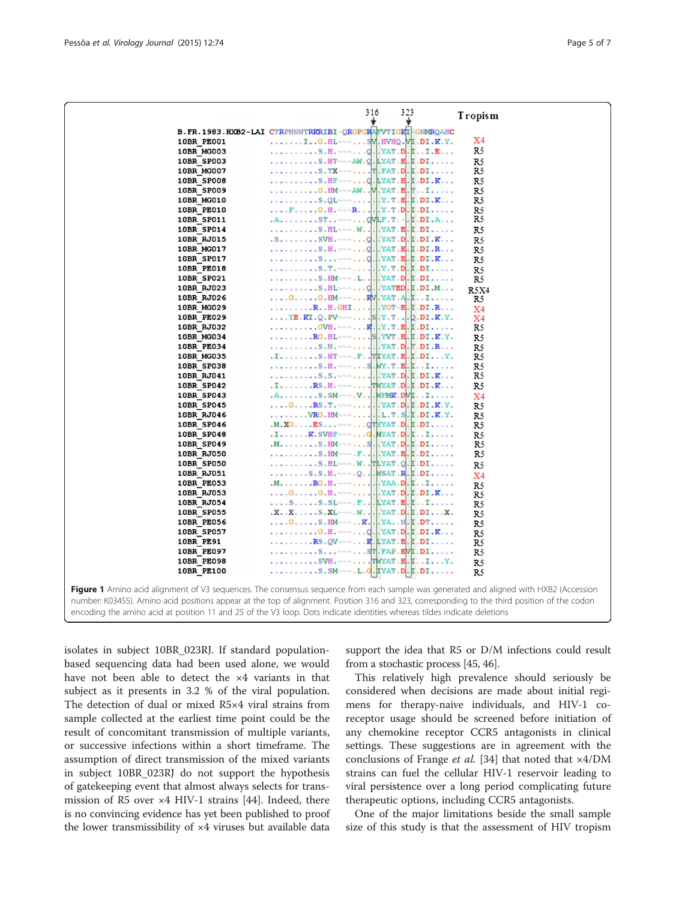<span id="page-4-0"></span>

|                          | 316                                                                                                                                                                                                    | 323 |                                                                              | Tropism        |       |
|--------------------------|--------------------------------------------------------------------------------------------------------------------------------------------------------------------------------------------------------|-----|------------------------------------------------------------------------------|----------------|-------|
|                          | B. FR. 1983. HXB2-LAI CTRPNNNTRKRIRI~QRGPGRAFVTIGKI GNMRQAHC                                                                                                                                           |     |                                                                              |                |       |
| 10BR_PE001               | IG.HL~~~SV.HVHQ.VL.DI.K.Y.                                                                                                                                                                             |     |                                                                              | X4             |       |
| <b>10BR MG003</b>        |                                                                                                                                                                                                        |     |                                                                              | R5             |       |
| <b>10BR SP003</b>        | S.HT~~~AW.Q.LYAT.E.L.DI                                                                                                                                                                                |     |                                                                              | R5             |       |
| <b>10BR MG007</b>        | . S. TX $\sim$ T. FAT . D. L . DI                                                                                                                                                                      |     |                                                                              | R5             |       |
| <b>10BR SP008</b>        | S.HF $\sim$ , G. LYAT. E. L.DI.K                                                                                                                                                                       |     |                                                                              | R5             |       |
| <b>10BR SP009</b>        | G. $HM \sim \sim AW.$ . V. YAT. E. $T.$ .I                                                                                                                                                             |     |                                                                              | R5             |       |
| 10BR MG010               |                                                                                                                                                                                                        |     |                                                                              | R5             |       |
| <b>10BR PE010</b>        | $\ldots$ $F$ $\ldots$ $G$ $H$ $\sim$ $\sim$ $R$ $\ldots$ $\ldots$ $\ldots$ $Y$ $T$ $D$ $L$ $D$ $I$ $\ldots$ $\ldots$                                                                                   |     |                                                                              | R5             |       |
| <b>10BR SP011</b>        | $.A. \ldots$ $.ST. \cdots$ $QVLE.T. \sim I.DI.A$                                                                                                                                                       |     |                                                                              | R5             |       |
| 10BR SP014               | . S. HL $\sim$ $\sim$ . W. YAT. E. L. DI.                                                                                                                                                              |     |                                                                              | R5             |       |
| 10BR RJ015               |                                                                                                                                                                                                        |     |                                                                              | R5             |       |
| 10BR MG017               |                                                                                                                                                                                                        |     |                                                                              | R5             |       |
| <b>10BR SP017</b>        |                                                                                                                                                                                                        |     |                                                                              | R5             |       |
| <b>10BR PE018</b>        |                                                                                                                                                                                                        |     |                                                                              | R5             |       |
| 10BR SP021               | S.HM~~~.LYAT.D.L.DI                                                                                                                                                                                    |     |                                                                              | R5             |       |
| 10BR RJ023               |                                                                                                                                                                                                        |     |                                                                              | R5X4           |       |
| 10BR RJ026               | $\ldots$ G. $\ldots$ G. HM $\sim$ $\sim$ $\ldots$ KV. YAT. A. I. $\ldots$ .                                                                                                                            |     |                                                                              | R5             |       |
| 10BR MG029               |                                                                                                                                                                                                        |     |                                                                              | X <sub>4</sub> |       |
| 10BR PE029               | $\ldots$ YE. KI. Q. PV $\sim$ $\ldots$ . S. Y. T. . Q. DI. K. Y.                                                                                                                                       |     |                                                                              | X4             |       |
| 10BR RJ032               |                                                                                                                                                                                                        |     |                                                                              | R5             |       |
| 10BR MG034               |                                                                                                                                                                                                        |     |                                                                              | R5             |       |
| 10BR PE034               |                                                                                                                                                                                                        |     |                                                                              | R5             |       |
| 10BR MG035               | $\texttt{I} \ldots \ldots \texttt{S} \texttt{.} \texttt{HT} \sim \sim \texttt{.} \texttt{F} \ldots \texttt{TT} \texttt{YAT} \texttt{.} \texttt{E} \texttt{.} \texttt{DI} \ldots \texttt{Y} \texttt{.}$ |     |                                                                              | R5             |       |
| 10BR SP038               | . S.H. ~~~. S.WY. T. E. L. . I.                                                                                                                                                                        |     |                                                                              | R5             |       |
| 10BR RJ041               |                                                                                                                                                                                                        |     |                                                                              | R5             |       |
| 10BR SP042               | $\ldots$ . RS.H. $\sim\sim\ldots$ . TWYAT.D.L.DI.K                                                                                                                                                     |     |                                                                              | R5             |       |
| 10BR SP043               | $.A. \ldots S. SM \sim N.$ . WEMK.DVI $I \ldots$ .                                                                                                                                                     |     |                                                                              | X <sub>4</sub> |       |
| 10BR SP045               | $\ldots$ G. $\ldots$ RS. T. $\sim\sim\ldots$ I. YAT. D. L. DI. K. Y.                                                                                                                                   |     |                                                                              | R5             |       |
| 10BR RJ046<br>10BR SP046 | $.M.XG$ $BS \sim \sim $ $QTYYAT.D.$ $L.DI$ .                                                                                                                                                           |     |                                                                              | R5             |       |
| <b>10BR SP048</b>        | $\ldots$ . K. SVHF $\sim\sim\ldots$ G. MYAT. D. $\llbracket \ldots \rrbracket$ .                                                                                                                       |     |                                                                              | R5             |       |
| 10BR SP049               | $.M. \ldots \ldots S.HM \sim \cdots \ldots S.$ . YAT.D. [.DI                                                                                                                                           |     |                                                                              | R5<br>R5       |       |
| 10BR RJ050               | $\ldots \ldots \ldots \ldots$ $\texttt{EM}\sim\sim\texttt{F}\cdot\texttt{F}$                                                                                                                           |     | $.  . YAT.B. E.DI. \ldots$                                                   | R5             |       |
| <b>10BR SP050</b>        | S.HL~~~.WTLYAT.Q.L.DI                                                                                                                                                                                  |     |                                                                              |                |       |
| 10BR RJ051               | S.S.H. $\sim$ 0                                                                                                                                                                                        |     | WSAT.R.F.DI                                                                  | R5             |       |
| 10BR PE053               | $.M. \ldots . RG.H. \sim \sim \ldots$ YAA.D. $[$                                                                                                                                                       |     |                                                                              | X <sub>4</sub> |       |
| 10BR RJ053               | $\ldots$ G. $\ldots$ G. H. $\sim\sim\ldots$ .                                                                                                                                                          |     | $.  . YAT.D. E.DI.K.$                                                        | R5<br>R5       |       |
| 10BR RJ054               | $\ldots$ S $\ldots$ S.SL $\sim$ $\ldots$ F                                                                                                                                                             |     | $.LYAT.B.I. \ldots$                                                          | R5             |       |
| <b>10BR SP055</b>        | $X \ldots X$ , $X \ldots$ , $S \ldots X$ $\longrightarrow$ $M \ldots M$ , $\ldots$ $\longrightarrow$ $M \ldots N$ .                                                                                    |     |                                                                              | R5             |       |
| 10BR PE056               | $\ldots$ G. $\ldots$ S. FIM $\sim$ $\sim$ $\ldots$ K.                                                                                                                                                  |     | $\cdot$ , YA. $\cdot$ N $\cdot$ E $\cdot$ DT $\cdot$ $\cdot$ $\cdot$ $\cdot$ | R5             |       |
| 10BR SP057               | $G.H. \sim \sim \ldots Q.$ $YAT.D.$ $E.D.$ $K.$                                                                                                                                                        |     |                                                                              | R5             |       |
| 10BR PE91                | RS.QV~~~R.LYAT.E.L.DI                                                                                                                                                                                  |     |                                                                              | R5             |       |
| 10BR PE097               | S~~~ST.FAP.EVI.DI                                                                                                                                                                                      |     |                                                                              | R5             |       |
| <b>10BR PE098</b>        | . SVH.<br>$\sim\sim\ldots$ . TWYAT.E.I.IY.                                                                                                                                                             |     |                                                                              | R5             |       |
| 10BR PE100               | $\ldots \ldots \ldots$ S.SM $\sim$ $\sim$ L.G. IYAT. D. I.DI.                                                                                                                                          |     |                                                                              | R5             |       |
|                          |                                                                                                                                                                                                        |     |                                                                              |                | 11/22 |

Figure 1 Amino acid alignment of V3 sequences. The consensus sequence from each sample was generated and aligned with HXB2 (Accession number: K03455). Amino acid positions appear at the top of alignment. Position 316 and 323, corresponding to the third position of the codon encoding the amino acid at position 11 and 25 of the V3 loop. Dots indicate identities whereas tildes indicate deletions

isolates in subject 10BR\_023RJ. If standard populationbased sequencing data had been used alone, we would have not been able to detect the ×4 variants in that subject as it presents in 3.2 % of the viral population. The detection of dual or mixed R5×4 viral strains from sample collected at the earliest time point could be the result of concomitant transmission of multiple variants, or successive infections within a short timeframe. The assumption of direct transmission of the mixed variants in subject 10BR\_023RJ do not support the hypothesis of gatekeeping event that almost always selects for transmission of R5 over  $\times$ 4 HIV-1 strains [[44\]](#page-6-0). Indeed, there is no convincing evidence has yet been published to proof the lower transmissibility of ×4 viruses but available data

support the idea that R5 or D/M infections could result from a stochastic process [\[45, 46](#page-6-0)].

This relatively high prevalence should seriously be considered when decisions are made about initial regimens for therapy-naive individuals, and HIV-1 coreceptor usage should be screened before initiation of any chemokine receptor CCR5 antagonists in clinical settings. These suggestions are in agreement with the conclusions of Frange et al. [\[34\]](#page-6-0) that noted that  $\times$ 4/DM strains can fuel the cellular HIV-1 reservoir leading to viral persistence over a long period complicating future therapeutic options, including CCR5 antagonists.

One of the major limitations beside the small sample size of this study is that the assessment of HIV tropism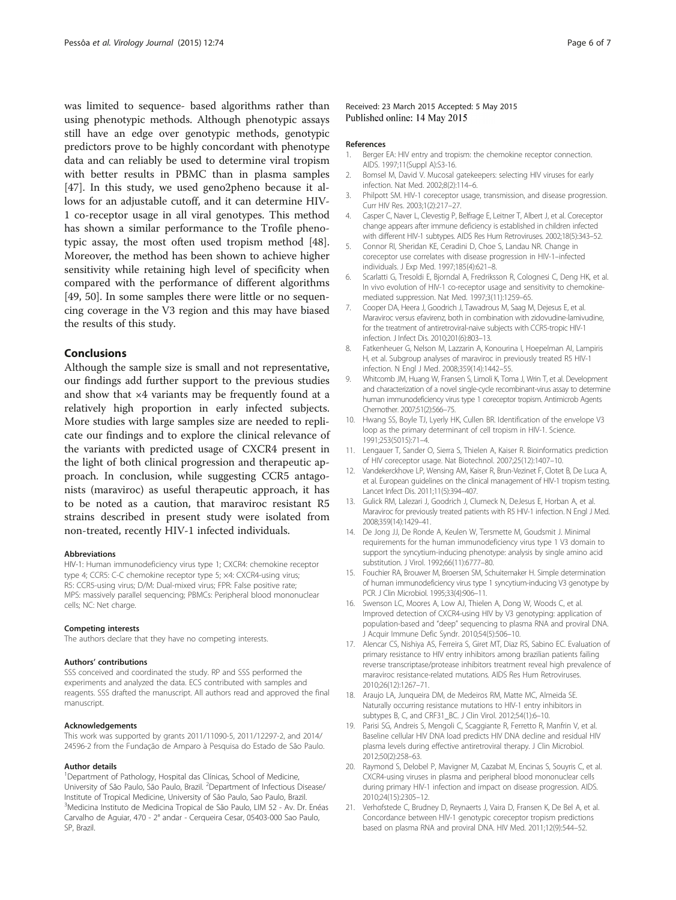<span id="page-5-0"></span>was limited to sequence- based algorithms rather than using phenotypic methods. Although phenotypic assays still have an edge over genotypic methods, genotypic predictors prove to be highly concordant with phenotype data and can reliably be used to determine viral tropism with better results in PBMC than in plasma samples [[47\]](#page-6-0). In this study, we used geno2pheno because it allows for an adjustable cutoff, and it can determine HIV-1 co-receptor usage in all viral genotypes. This method has shown a similar performance to the Trofile phenotypic assay, the most often used tropism method [\[48](#page-6-0)]. Moreover, the method has been shown to achieve higher sensitivity while retaining high level of specificity when compared with the performance of different algorithms [[49, 50\]](#page-6-0). In some samples there were little or no sequencing coverage in the V3 region and this may have biased the results of this study.

## Conclusions

Although the sample size is small and not representative, our findings add further support to the previous studies and show that  $\times 4$  variants may be frequently found at a relatively high proportion in early infected subjects. More studies with large samples size are needed to replicate our findings and to explore the clinical relevance of the variants with predicted usage of CXCR4 present in the light of both clinical progression and therapeutic approach. In conclusion, while suggesting CCR5 antagonists (maraviroc) as useful therapeutic approach, it has to be noted as a caution, that maraviroc resistant R5 strains described in present study were isolated from non-treated, recently HIV-1 infected individuals.

#### Abbreviations

HIV-1: Human immunodeficiency virus type 1; CXCR4: chemokine receptor type 4; CCR5: C-C chemokine receptor type 5; ×4: CXCR4-using virus; R5: CCR5-using virus; D/M: Dual-mixed virus; FPR: False positive rate; MPS: massively parallel sequencing; PBMCs: Peripheral blood mononuclear cells; NC: Net charge.

#### Competing interests

The authors declare that they have no competing interests.

#### Authors' contributions

SSS conceived and coordinated the study. RP and SSS performed the experiments and analyzed the data. ECS contributed with samples and reagents. SSS drafted the manuscript. All authors read and approved the final manuscript.

#### Acknowledgements

This work was supported by grants 2011/11090-5, 2011/12297-2, and 2014/ 24596-2 from the Fundação de Amparo à Pesquisa do Estado de São Paulo.

#### Author details

<sup>1</sup>Department of Pathology, Hospital das Clínicas, School of Medicine, University of São Paulo, São Paulo, Brazil. <sup>2</sup>Department of Infectious Disease/ Institute of Tropical Medicine, University of São Paulo, Sao Paulo, Brazil. <sup>3</sup>Medicina Instituto de Medicina Tropical de São Paulo, LIM 52 - Av. Dr. Enéas Carvalho de Aguiar, 470 - 2° andar - Cerqueira Cesar, 05403-000 Sao Paulo, SP, Brazil.

#### Received: 23 March 2015 Accepted: 5 May 2015 Published online: 14 May 2015

#### References

- 1. Berger EA: HIV entry and tropism: the chemokine receptor connection. AIDS. 1997;11(Suppl A):S3-16.
- 2. Bomsel M, David V. Mucosal gatekeepers: selecting HIV viruses for early infection. Nat Med. 2002;8(2):114–6.
- 3. Philpott SM. HIV-1 coreceptor usage, transmission, and disease progression. Curr HIV Res. 2003;1(2):217–27.
- 4. Casper C, Naver L, Clevestig P, Belfrage E, Leitner T, Albert J, et al. Coreceptor change appears after immune deficiency is established in children infected with different HIV-1 subtypes. AIDS Res Hum Retroviruses. 2002;18(5):343–52.
- 5. Connor RI, Sheridan KE, Ceradini D, Choe S, Landau NR. Change in coreceptor use correlates with disease progression in HIV-1–infected individuals. J Exp Med. 1997;185(4):621–8.
- 6. Scarlatti G, Tresoldi E, Bjorndal A, Fredriksson R, Colognesi C, Deng HK, et al. In vivo evolution of HIV-1 co-receptor usage and sensitivity to chemokinemediated suppression. Nat Med. 1997;3(11):1259–65.
- 7. Cooper DA, Heera J, Goodrich J, Tawadrous M, Saag M, Dejesus E, et al. Maraviroc versus efavirenz, both in combination with zidovudine-lamivudine, for the treatment of antiretroviral-naive subjects with CCR5-tropic HIV-1 infection. J Infect Dis. 2010;201(6):803–13.
- 8. Fatkenheuer G, Nelson M, Lazzarin A, Konourina I, Hoepelman AI, Lampiris H, et al. Subgroup analyses of maraviroc in previously treated R5 HIV-1 infection. N Engl J Med. 2008;359(14):1442–55.
- 9. Whitcomb JM, Huang W, Fransen S, Limoli K, Toma J, Wrin T, et al. Development and characterization of a novel single-cycle recombinant-virus assay to determine human immunodeficiency virus type 1 coreceptor tropism. Antimicrob Agents Chemother. 2007;51(2):566–75.
- 10. Hwang SS, Boyle TJ, Lyerly HK, Cullen BR. Identification of the envelope V3 loop as the primary determinant of cell tropism in HIV-1. Science. 1991;253(5015):71–4.
- 11. Lengauer T, Sander O, Sierra S, Thielen A, Kaiser R. Bioinformatics prediction of HIV coreceptor usage. Nat Biotechnol. 2007;25(12):1407–10.
- 12. Vandekerckhove LP, Wensing AM, Kaiser R, Brun-Vezinet F, Clotet B, De Luca A, et al. European guidelines on the clinical management of HIV-1 tropism testing. Lancet Infect Dis. 2011;11(5):394–407.
- 13. Gulick RM, Lalezari J, Goodrich J, Clumeck N, DeJesus E, Horban A, et al. Maraviroc for previously treated patients with R5 HIV-1 infection. N Engl J Med. 2008;359(14):1429–41.
- 14. De Jong JJ, De Ronde A, Keulen W, Tersmette M, Goudsmit J. Minimal requirements for the human immunodeficiency virus type 1 V3 domain to support the syncytium-inducing phenotype: analysis by single amino acid substitution. J Virol. 1992;66(11):6777–80.
- 15. Fouchier RA, Brouwer M, Broersen SM, Schuitemaker H. Simple determination of human immunodeficiency virus type 1 syncytium-inducing V3 genotype by PCR. J Clin Microbiol. 1995;33(4):906–11.
- 16. Swenson LC, Moores A, Low AJ, Thielen A, Dong W, Woods C, et al. Improved detection of CXCR4-using HIV by V3 genotyping: application of population-based and "deep" sequencing to plasma RNA and proviral DNA. J Acquir Immune Defic Syndr. 2010;54(5):506–10.
- 17. Alencar CS, Nishiya AS, Ferreira S, Giret MT, Diaz RS, Sabino EC. Evaluation of primary resistance to HIV entry inhibitors among brazilian patients failing reverse transcriptase/protease inhibitors treatment reveal high prevalence of maraviroc resistance-related mutations. AIDS Res Hum Retroviruses. 2010;26(12):1267–71.
- 18. Araujo LA, Junqueira DM, de Medeiros RM, Matte MC, Almeida SE. Naturally occurring resistance mutations to HIV-1 entry inhibitors in subtypes B, C, and CRF31\_BC. J Clin Virol. 2012;54(1):6–10.
- 19. Parisi SG, Andreis S, Mengoli C, Scaggiante R, Ferretto R, Manfrin V, et al. Baseline cellular HIV DNA load predicts HIV DNA decline and residual HIV plasma levels during effective antiretroviral therapy. J Clin Microbiol. 2012;50(2):258–63.
- 20. Raymond S, Delobel P, Mavigner M, Cazabat M, Encinas S, Souyris C, et al. CXCR4-using viruses in plasma and peripheral blood mononuclear cells during primary HIV-1 infection and impact on disease progression. AIDS. 2010;24(15):2305–12.
- 21. Verhofstede C, Brudney D, Reynaerts J, Vaira D, Fransen K, De Bel A, et al. Concordance between HIV-1 genotypic coreceptor tropism predictions based on plasma RNA and proviral DNA. HIV Med. 2011;12(9):544–52.